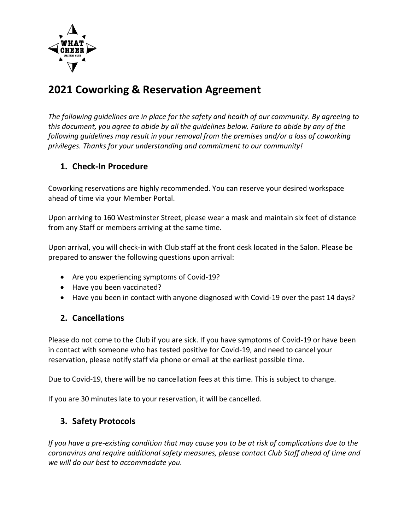

# **2021 Coworking & Reservation Agreement**

*The following guidelines are in place for the safety and health of our community. By agreeing to this document, you agree to abide by all the guidelines below. Failure to abide by any of the following guidelines may result in your removal from the premises and/or a loss of coworking privileges. Thanks for your understanding and commitment to our community!*

# **1. Check-In Procedure**

Coworking reservations are highly recommended. You can reserve your desired workspace ahead of time via your Member Portal.

Upon arriving to 160 Westminster Street, please wear a mask and maintain six feet of distance from any Staff or members arriving at the same time.

Upon arrival, you will check-in with Club staff at the front desk located in the Salon. Please be prepared to answer the following questions upon arrival:

- Are you experiencing symptoms of Covid-19?
- Have you been vaccinated?
- Have you been in contact with anyone diagnosed with Covid-19 over the past 14 days?

# **2. Cancellations**

Please do not come to the Club if you are sick. If you have symptoms of Covid-19 or have been in contact with someone who has tested positive for Covid-19, and need to cancel your reservation, please notify staff via phone or email at the earliest possible time.

Due to Covid-19, there will be no cancellation fees at this time. This is subject to change.

If you are 30 minutes late to your reservation, it will be cancelled.

# **3. Safety Protocols**

*If you have a pre-existing condition that may cause you to be at risk of complications due to the coronavirus and require additional safety measures, please contact Club Staff ahead of time and we will do our best to accommodate you.*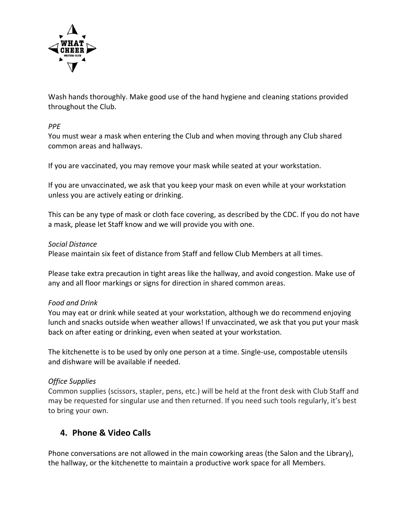

Wash hands thoroughly. Make good use of the hand hygiene and cleaning stations provided throughout the Club.

#### *PPE*

You must wear a mask when entering the Club and when moving through any Club shared common areas and hallways.

If you are vaccinated, you may remove your mask while seated at your workstation.

If you are unvaccinated, we ask that you keep your mask on even while at your workstation unless you are actively eating or drinking.

This can be any type of mask or cloth face covering, [as described by the CDC.](https://www.cdc.gov/coronavirus/2019-ncov/prevent-getting-sick/about-face-coverings.html) If you do not have a mask, please let Staff know and we will provide you with one.

#### *Social Distance*

Please maintain six feet of distance from Staff and fellow Club Members at all times.

Please take extra precaution in tight areas like the hallway, and avoid congestion. Make use of any and all floor markings or signs for direction in shared common areas.

#### *Food and Drink*

You may eat or drink while seated at your workstation, although we do recommend enjoying lunch and snacks outside when weather allows! If unvaccinated, we ask that you put your mask back on after eating or drinking, even when seated at your workstation.

The kitchenette is to be used by only one person at a time. Single-use, compostable utensils and dishware will be available if needed.

# *Office Supplies*

Common supplies (scissors, stapler, pens, etc.) will be held at the front desk with Club Staff and may be requested for singular use and then returned. If you need such tools regularly, it's best to bring your own.

# **4. Phone & Video Calls**

Phone conversations are not allowed in the main coworking areas (the Salon and the Library), the hallway, or the kitchenette to maintain a productive work space for all Members.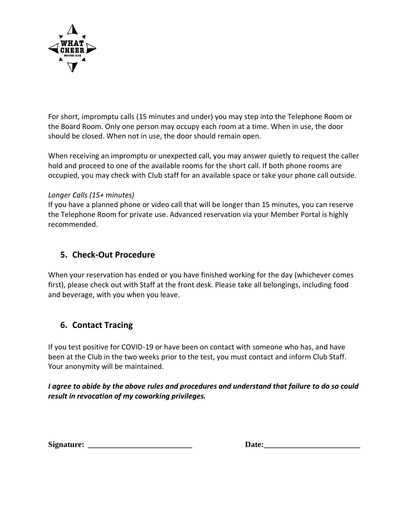

For short, impromptu calls (15 minutes and under) you may step into the Telephone Room or the Board Room. Only one person may occupy each room at a time. When in use, the door should be closed. When not in use, the door should remain open.

When receiving an impromptu or unexpected call, you may answer quietly to request the caller hold and proceed to one of the available rooms for the short call. If both phone rooms are occupied, you may check with Club staff for an available space or take your phone call outside.

# *Longer Calls (15+ minutes)*

If you have a planned phone or video call that will be longer than 15 minutes, you can reserve the Telephone Room for private use. Advanced reservation via your Member Portal is highly recommended.

# **5. Check-Out Procedure**

When your reservation has ended or you have finished working for the day (whichever comes first), please check out with Staff at the front desk. Please take all belongings, including food and beverage, with you when you leave.

# **6. Contact Tracing**

If you test positive for COVID-19 or have been on contact with someone who has, and have been at the Club in the two weeks prior to the test, you must contact and inform Club Staff. Your anonymity will be maintained.

*I agree to abide by the above rules and procedures and understand that failure to do so could result in revocation of my coworking privileges.* 

**Signature:** *\_\_\_\_\_\_\_\_\_\_\_\_\_\_\_\_\_\_\_\_\_\_\_\_\_\_* **Date:\_\_\_\_\_\_\_\_\_\_\_\_\_\_\_\_\_\_\_\_\_\_\_\_**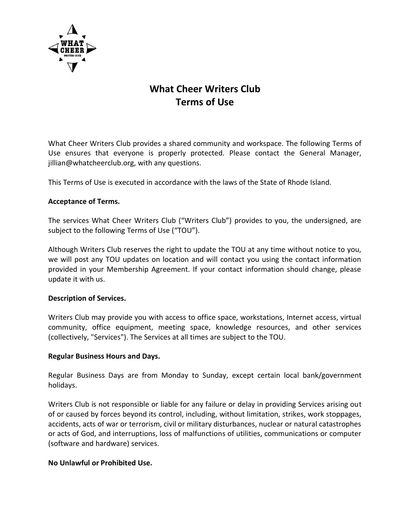

# **What Cheer Writers Club Terms of Use**

What Cheer Writers Club provides a shared community and workspace. The following Terms of Use ensures that everyone is properly protected. Please contact the General Manager, jillian@whatcheerclub.org, with any questions.

This Terms of Use is executed in accordance with the laws of the State of Rhode Island.

#### **Acceptance of Terms.**

The services What Cheer Writers Club ("Writers Club") provides to you, the undersigned, are subject to the following Terms of Use ("TOU").

Although Writers Club reserves the right to update the TOU at any time without notice to you, we will post any TOU updates on location and will contact you using the contact information provided in your Membership Agreement. If your contact information should change, please update it with us.

#### **Description of Services.**

Writers Club may provide you with access to office space, workstations, Internet access, virtual community, office equipment, meeting space, knowledge resources, and other services (collectively, "Services"). The Services at all times are subject to the TOU.

#### **Regular Business Hours and Days.**

Regular Business Days are from Monday to Sunday, except certain local bank/government holidays.

Writers Club is not responsible or liable for any failure or delay in providing Services arising out of or caused by forces beyond its control, including, without limitation, strikes, work stoppages, accidents, acts of war or terrorism, civil or military disturbances, nuclear or natural catastrophes or acts of God, and interruptions, loss of malfunctions of utilities, communications or computer (software and hardware) services.

#### **No Unlawful or Prohibited Use.**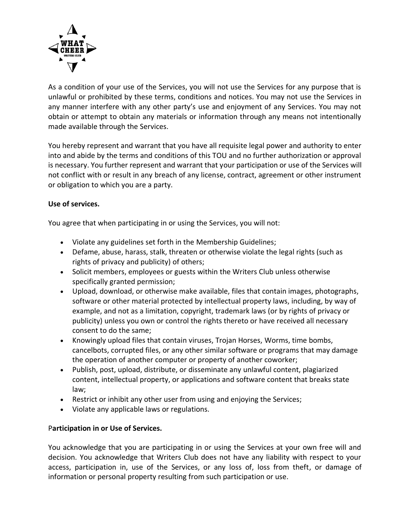

As a condition of your use of the Services, you will not use the Services for any purpose that is unlawful or prohibited by these terms, conditions and notices. You may not use the Services in any manner interfere with any other party's use and enjoyment of any Services. You may not obtain or attempt to obtain any materials or information through any means not intentionally made available through the Services.

You hereby represent and warrant that you have all requisite legal power and authority to enter into and abide by the terms and conditions of this TOU and no further authorization or approval is necessary. You further represent and warrant that your participation or use of the Services will not conflict with or result in any breach of any license, contract, agreement or other instrument or obligation to which you are a party.

# **Use of services.**

You agree that when participating in or using the Services, you will not:

- Violate any guidelines set forth in the Membership Guidelines;
- Defame, abuse, harass, stalk, threaten or otherwise violate the legal rights (such as rights of privacy and publicity) of others;
- Solicit members, employees or guests within the Writers Club unless otherwise specifically granted permission;
- Upload, download, or otherwise make available, files that contain images, photographs, software or other material protected by intellectual property laws, including, by way of example, and not as a limitation, copyright, trademark laws (or by rights of privacy or publicity) unless you own or control the rights thereto or have received all necessary consent to do the same;
- Knowingly upload files that contain viruses, Trojan Horses, Worms, time bombs, cancelbots, corrupted files, or any other similar software or programs that may damage the operation of another computer or property of another coworker;
- Publish, post, upload, distribute, or disseminate any unlawful content, plagiarized content, intellectual property, or applications and software content that breaks state law;
- Restrict or inhibit any other user from using and enjoying the Services;
- Violate any applicable laws or regulations.

# P**articipation in or Use of Services.**

You acknowledge that you are participating in or using the Services at your own free will and decision. You acknowledge that Writers Club does not have any liability with respect to your access, participation in, use of the Services, or any loss of, loss from theft, or damage of information or personal property resulting from such participation or use.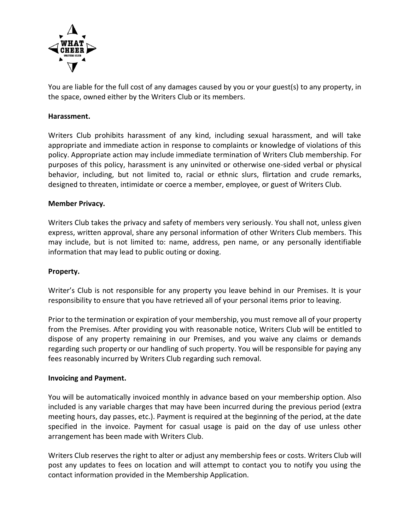

You are liable for the full cost of any damages caused by you or your guest(s) to any property, in the space, owned either by the Writers Club or its members.

#### **Harassment.**

Writers Club prohibits harassment of any kind, including sexual harassment, and will take appropriate and immediate action in response to complaints or knowledge of violations of this policy. Appropriate action may include immediate termination of Writers Club membership. For purposes of this policy, harassment is any uninvited or otherwise one-sided verbal or physical behavior, including, but not limited to, racial or ethnic slurs, flirtation and crude remarks, designed to threaten, intimidate or coerce a member, employee, or guest of Writers Club.

#### **Member Privacy.**

Writers Club takes the privacy and safety of members very seriously. You shall not, unless given express, written approval, share any personal information of other Writers Club members. This may include, but is not limited to: name, address, pen name, or any personally identifiable information that may lead to public outing or doxing.

#### **Property.**

Writer's Club is not responsible for any property you leave behind in our Premises. It is your responsibility to ensure that you have retrieved all of your personal items prior to leaving.

Prior to the termination or expiration of your membership, you must remove all of your property from the Premises. After providing you with reasonable notice, Writers Club will be entitled to dispose of any property remaining in our Premises, and you waive any claims or demands regarding such property or our handling of such property. You will be responsible for paying any fees reasonably incurred by Writers Club regarding such removal.

#### **Invoicing and Payment.**

You will be automatically invoiced monthly in advance based on your membership option. Also included is any variable charges that may have been incurred during the previous period (extra meeting hours, day passes, etc.). Payment is required at the beginning of the period, at the date specified in the invoice. Payment for casual usage is paid on the day of use unless other arrangement has been made with Writers Club.

Writers Club reserves the right to alter or adjust any membership fees or costs. Writers Club will post any updates to fees on location and will attempt to contact you to notify you using the contact information provided in the Membership Application.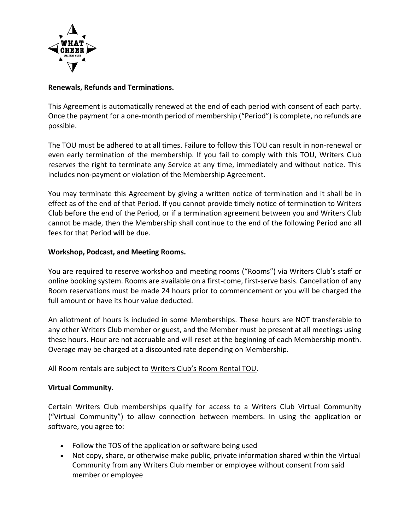

#### **Renewals, Refunds and Terminations.**

This Agreement is automatically renewed at the end of each period with consent of each party. Once the payment for a one-month period of membership ("Period") is complete, no refunds are possible.

The TOU must be adhered to at all times. Failure to follow this TOU can result in non-renewal or even early termination of the membership. If you fail to comply with this TOU, Writers Club reserves the right to terminate any Service at any time, immediately and without notice. This includes non-payment or violation of the Membership Agreement.

You may terminate this Agreement by giving a written notice of termination and it shall be in effect as of the end of that Period. If you cannot provide timely notice of termination to Writers Club before the end of the Period, or if a termination agreement between you and Writers Club cannot be made, then the Membership shall continue to the end of the following Period and all fees for that Period will be due.

#### **Workshop, Podcast, and Meeting Rooms.**

You are required to reserve workshop and meeting rooms ("Rooms") via Writers Club's staff or online booking system. Rooms are available on a first-come, first-serve basis. Cancellation of any Room reservations must be made 24 hours prior to commencement or you will be charged the full amount or have its hour value deducted.

An allotment of hours is included in some Memberships. These hours are NOT transferable to any other Writers Club member or guest, and the Member must be present at all meetings using these hours. Hour are not accruable and will reset at the beginning of each Membership month. Overage may be charged at a discounted rate depending on Membership.

All Room rentals are subject to Writers Club's Room Rental TOU.

#### **Virtual Community.**

Certain Writers Club memberships qualify for access to a Writers Club Virtual Community ("Virtual Community") to allow connection between members. In using the application or software, you agree to:

- Follow the TOS of the application or software being used
- Not copy, share, or otherwise make public, private information shared within the Virtual Community from any Writers Club member or employee without consent from said member or employee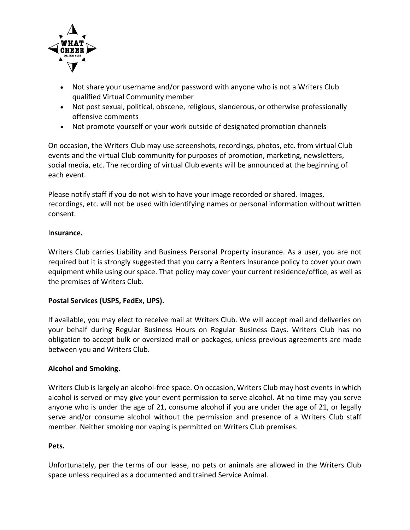

- Not share your username and/or password with anyone who is not a Writers Club qualified Virtual Community member
- Not post sexual, political, obscene, religious, slanderous, or otherwise professionally offensive comments
- Not promote yourself or your work outside of designated promotion channels

On occasion, the Writers Club may use screenshots, recordings, photos, etc. from virtual Club events and the virtual Club community for purposes of promotion, marketing, newsletters, social media, etc. The recording of virtual Club events will be announced at the beginning of each event.

Please notify staff if you do not wish to have your image recorded or shared. Images, recordings, etc. will not be used with identifying names or personal information without written consent.

#### I**nsurance.**

Writers Club carries Liability and Business Personal Property insurance. As a user, you are not required but it is strongly suggested that you carry a Renters Insurance policy to cover your own equipment while using our space. That policy may cover your current residence/office, as well as the premises of Writers Club.

# **Postal Services (USPS, FedEx, UPS).**

If available, you may elect to receive mail at Writers Club. We will accept mail and deliveries on your behalf during Regular Business Hours on Regular Business Days. Writers Club has no obligation to accept bulk or oversized mail or packages, unless previous agreements are made between you and Writers Club.

# **Alcohol and Smoking.**

Writers Club is largely an alcohol-free space. On occasion, Writers Club may host events in which alcohol is served or may give your event permission to serve alcohol. At no time may you serve anyone who is under the age of 21, consume alcohol if you are under the age of 21, or legally serve and/or consume alcohol without the permission and presence of a Writers Club staff member. Neither smoking nor vaping is permitted on Writers Club premises.

#### **Pets.**

Unfortunately, per the terms of our lease, no pets or animals are allowed in the Writers Club space unless required as a documented and trained Service Animal.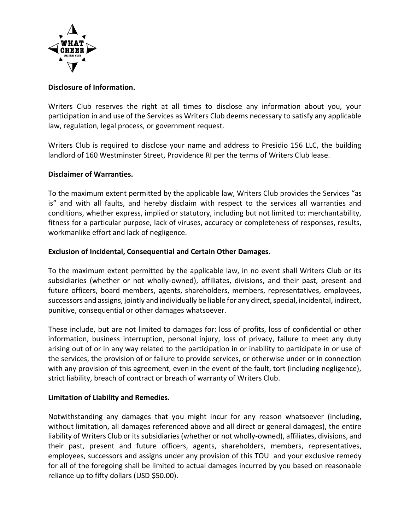

### **Disclosure of Information.**

Writers Club reserves the right at all times to disclose any information about you, your participation in and use of the Services as Writers Club deems necessary to satisfy any applicable law, regulation, legal process, or government request.

Writers Club is required to disclose your name and address to Presidio 156 LLC, the building landlord of 160 Westminster Street, Providence RI per the terms of Writers Club lease.

#### **Disclaimer of Warranties.**

To the maximum extent permitted by the applicable law, Writers Club provides the Services "as is" and with all faults, and hereby disclaim with respect to the services all warranties and conditions, whether express, implied or statutory, including but not limited to: merchantability, fitness for a particular purpose, lack of viruses, accuracy or completeness of responses, results, workmanlike effort and lack of negligence.

#### **Exclusion of Incidental, Consequential and Certain Other Damages.**

To the maximum extent permitted by the applicable law, in no event shall Writers Club or its subsidiaries (whether or not wholly-owned), affiliates, divisions, and their past, present and future officers, board members, agents, shareholders, members, representatives, employees, successors and assigns, jointly and individually be liable for any direct, special, incidental, indirect, punitive, consequential or other damages whatsoever.

These include, but are not limited to damages for: loss of profits, loss of confidential or other information, business interruption, personal injury, loss of privacy, failure to meet any duty arising out of or in any way related to the participation in or inability to participate in or use of the services, the provision of or failure to provide services, or otherwise under or in connection with any provision of this agreement, even in the event of the fault, tort (including negligence), strict liability, breach of contract or breach of warranty of Writers Club.

# **Limitation of Liability and Remedies.**

Notwithstanding any damages that you might incur for any reason whatsoever (including, without limitation, all damages referenced above and all direct or general damages), the entire liability of Writers Club or its subsidiaries (whether or not wholly-owned), affiliates, divisions, and their past, present and future officers, agents, shareholders, members, representatives, employees, successors and assigns under any provision of this TOU and your exclusive remedy for all of the foregoing shall be limited to actual damages incurred by you based on reasonable reliance up to fifty dollars (USD \$50.00).